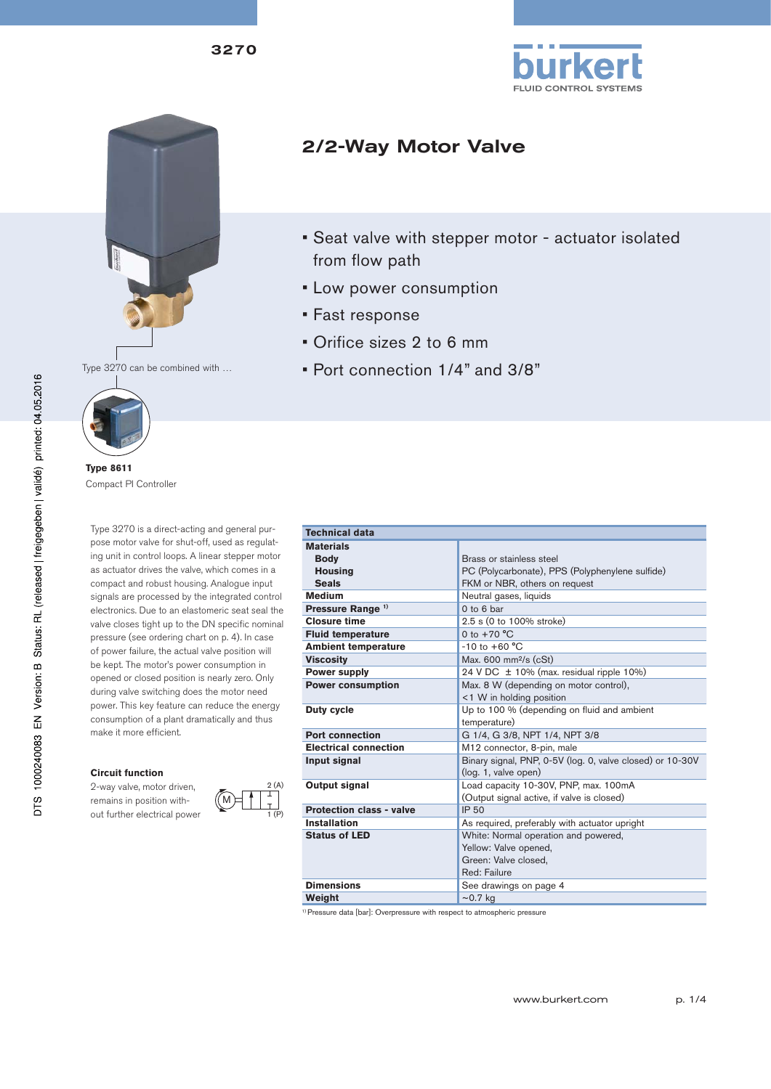3270







**Type 8611** Compact PI Controller

Type 3270 is a direct-acting and general purpose motor valve for shut-off, used as regulating unit in control loops. A linear stepper motor as actuator drives the valve, which comes in a compact and robust housing. Analogue input signals are processed by the integrated control electronics. Due to an elastomeric seat seal the valve closes tight up to the DN specific nominal pressure (see ordering chart on p. 4). In case of power failure, the actual valve position will be kept. The motor's power consumption in opened or closed position is nearly zero. Only during valve switching does the motor need power. This key feature can reduce the energy consumption of a plant dramatically and thus make it more efficient.

#### **Circuit function**

2-way valve, motor driven, remains in position without further electrical power



M

| 2/2-Way Motor Valve |  |  |
|---------------------|--|--|
|---------------------|--|--|

- Seat valve with stepper motor actuator isolated from flow path
- Low power consumption
- Fast response
- Orifice sizes 2 to 6 mm
- Port connection 1/4" and 3/8"

| <b>Technical data</b>           |                                                           |  |  |  |
|---------------------------------|-----------------------------------------------------------|--|--|--|
| <b>Materials</b>                |                                                           |  |  |  |
| <b>Body</b>                     | Brass or stainless steel                                  |  |  |  |
| <b>Housing</b>                  | PC (Polycarbonate), PPS (Polyphenylene sulfide)           |  |  |  |
| <b>Seals</b>                    | FKM or NBR, others on request                             |  |  |  |
| <b>Medium</b>                   | Neutral gases, liquids                                    |  |  |  |
| Pressure Range <sup>1)</sup>    | $0$ to $6$ bar                                            |  |  |  |
| <b>Closure time</b>             | 2.5 s (0 to 100% stroke)                                  |  |  |  |
| <b>Fluid temperature</b>        | 0 to $+70 °C$                                             |  |  |  |
| <b>Ambient temperature</b>      | $-10$ to $+60$ °C                                         |  |  |  |
| <b>Viscosity</b>                | Max. $600 \text{ mm}^2\text{/s}$ (cSt)                    |  |  |  |
| <b>Power supply</b>             | 24 V DC ± 10% (max. residual ripple 10%)                  |  |  |  |
| <b>Power consumption</b>        | Max. 8 W (depending on motor control),                    |  |  |  |
|                                 | <1 W in holding position                                  |  |  |  |
| <b>Duty cycle</b>               | Up to 100 % (depending on fluid and ambient               |  |  |  |
|                                 | temperature)                                              |  |  |  |
| <b>Port connection</b>          | G 1/4, G 3/8, NPT 1/4, NPT 3/8                            |  |  |  |
| <b>Electrical connection</b>    | M12 connector, 8-pin, male                                |  |  |  |
| Input signal                    | Binary signal, PNP, 0-5V (log. 0, valve closed) or 10-30V |  |  |  |
|                                 | (log. 1, valve open)                                      |  |  |  |
| Output signal                   | Load capacity 10-30V, PNP, max. 100mA                     |  |  |  |
|                                 | (Output signal active, if valve is closed)                |  |  |  |
| <b>Protection class - valve</b> | IP 50                                                     |  |  |  |
| <b>Installation</b>             | As required, preferably with actuator upright             |  |  |  |
| <b>Status of LED</b>            | White: Normal operation and powered,                      |  |  |  |
|                                 | Yellow: Valve opened,                                     |  |  |  |
|                                 | Green: Valve closed,                                      |  |  |  |
|                                 | Red: Failure                                              |  |  |  |
| <b>Dimensions</b>               | See drawings on page 4                                    |  |  |  |
| Weight                          | $\sim$ 0.7 kg                                             |  |  |  |
|                                 |                                                           |  |  |  |

<sup>1)</sup> Pressure data [bar]: Overpressure with respect to atmospheric pressure

DTS 1000240083 EN Version: B Status: RL (released | freigegeben | validé) printed: 04.05.2016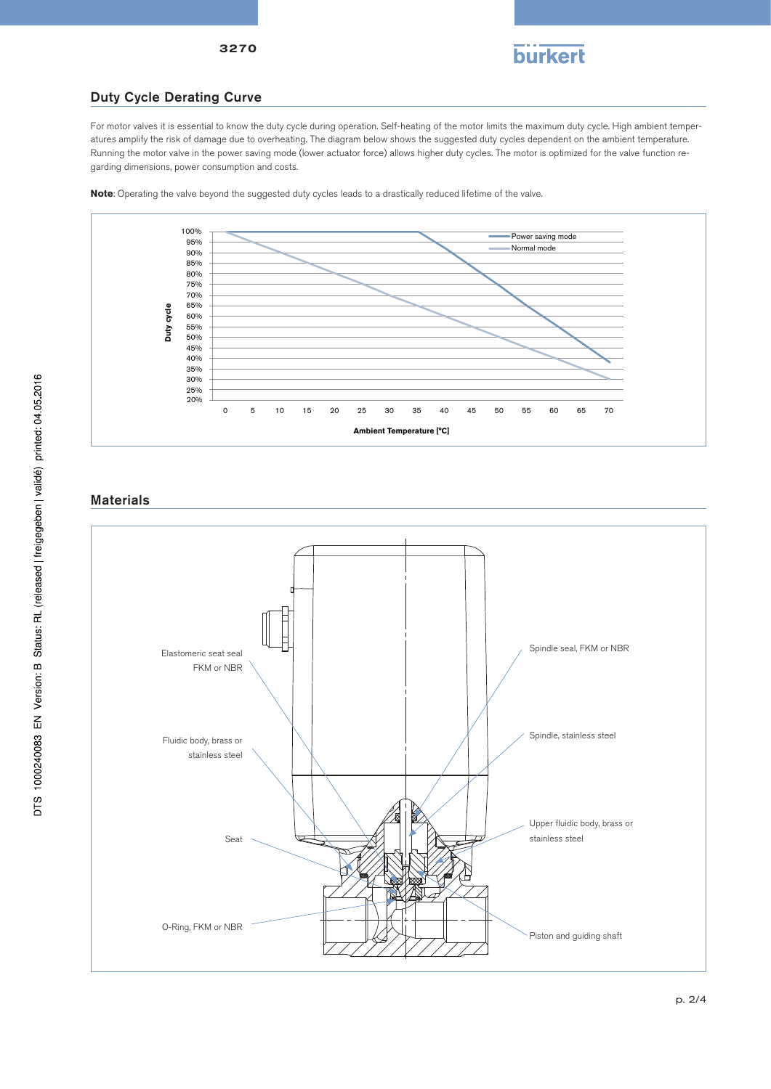

## Duty Cycle Derating Curve

3270

For motor valves it is essential to know the duty cycle during operation. Self-heating of the motor limits the maximum duty cycle. High ambient temperatures amplify the risk of damage due to overheating. The diagram below shows the suggested duty cycles dependent on the ambient temperature. Running the motor valve in the power saving mode (lower actuator force) allows higher duty cycles. The motor is optimized for the valve function regarding dimensions, power consumption and costs.

**Note**: Operating the valve beyond the suggested duty cycles leads to a drastically reduced lifetime of the valve.



### **Materials**

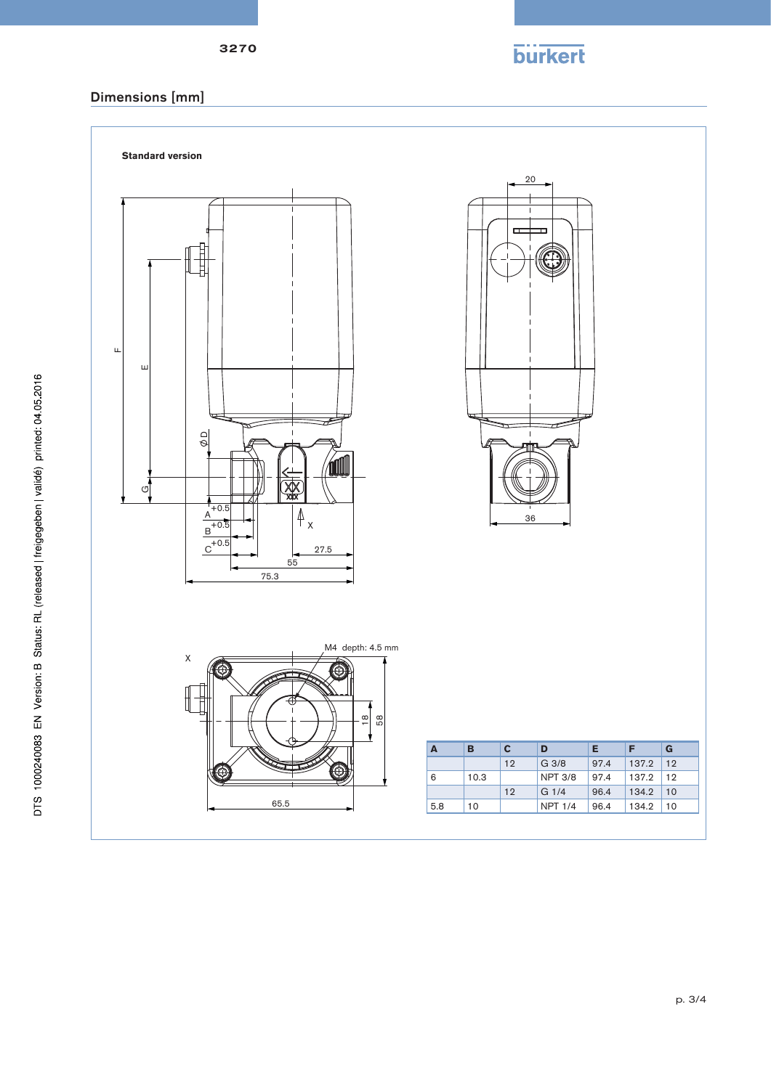p. 3/4



| A   | в    | c  | D                | Е    | F     | G  |
|-----|------|----|------------------|------|-------|----|
|     |      | 12 | G <sub>3/8</sub> | 97.4 | 137.2 | 12 |
| 6   | 10.3 |    | <b>NPT 3/8</b>   | 97.4 | 137.2 | 12 |
|     |      | 12 | G <sub>1/4</sub> | 96.4 | 134.2 | 10 |
| 5.8 | 10   |    | <b>NPT 1/4</b>   | 96.4 | 134.2 | 10 |
|     |      |    |                  |      |       |    |

**burkert**